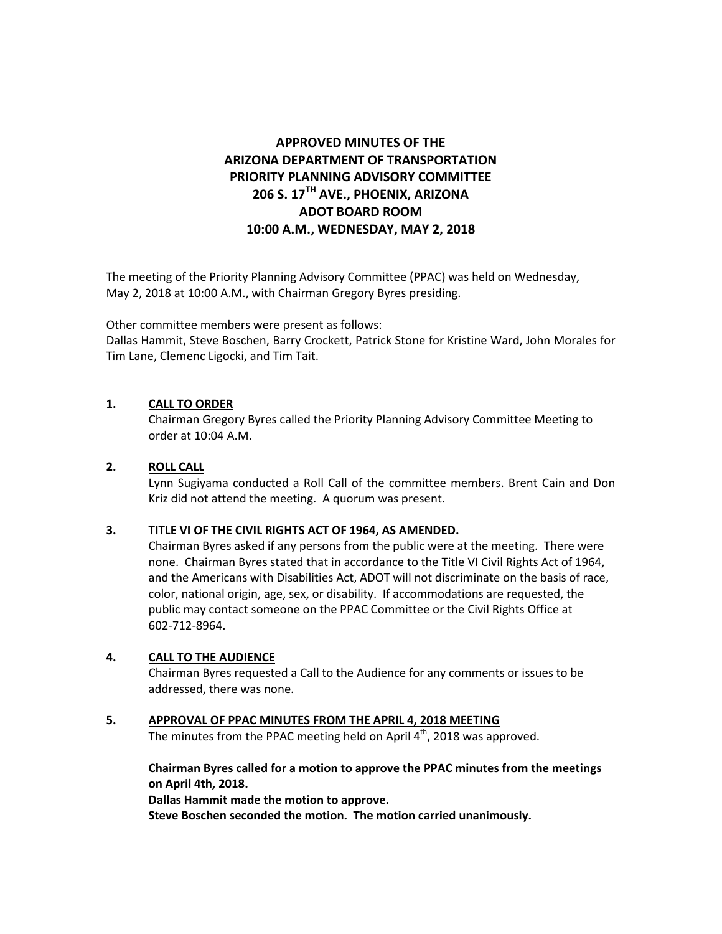# **APPROVED MINUTES OF THE ARIZONA DEPARTMENT OF TRANSPORTATION PRIORITY PLANNING ADVISORY COMMITTEE 206 S. 17TH AVE., PHOENIX, ARIZONA ADOT BOARD ROOM 10:00 A.M., WEDNESDAY, MAY 2, 2018**

The meeting of the Priority Planning Advisory Committee (PPAC) was held on Wednesday, May 2, 2018 at 10:00 A.M., with Chairman Gregory Byres presiding.

Other committee members were present as follows:

Dallas Hammit, Steve Boschen, Barry Crockett, Patrick Stone for Kristine Ward, John Morales for Tim Lane, Clemenc Ligocki, and Tim Tait.

## **1. CALL TO ORDER**

Chairman Gregory Byres called the Priority Planning Advisory Committee Meeting to order at 10:04 A.M.

## **2. ROLL CALL**

Lynn Sugiyama conducted a Roll Call of the committee members. Brent Cain and Don Kriz did not attend the meeting. A quorum was present.

#### **3. TITLE VI OF THE CIVIL RIGHTS ACT OF 1964, AS AMENDED.**

Chairman Byres asked if any persons from the public were at the meeting. There were none. Chairman Byres stated that in accordance to the Title VI Civil Rights Act of 1964, and the Americans with Disabilities Act, ADOT will not discriminate on the basis of race, color, national origin, age, sex, or disability. If accommodations are requested, the public may contact someone on the PPAC Committee or the Civil Rights Office at 602-712-8964.

#### **4. CALL TO THE AUDIENCE**

Chairman Byres requested a Call to the Audience for any comments or issues to be addressed, there was none.

## **5. APPROVAL OF PPAC MINUTES FROM THE APRIL 4, 2018 MEETING**

The minutes from the PPAC meeting held on April 4<sup>th</sup>, 2018 was approved.

**Chairman Byres called for a motion to approve the PPAC minutes from the meetings on April 4th, 2018.** 

**Dallas Hammit made the motion to approve.**

**Steve Boschen seconded the motion. The motion carried unanimously.**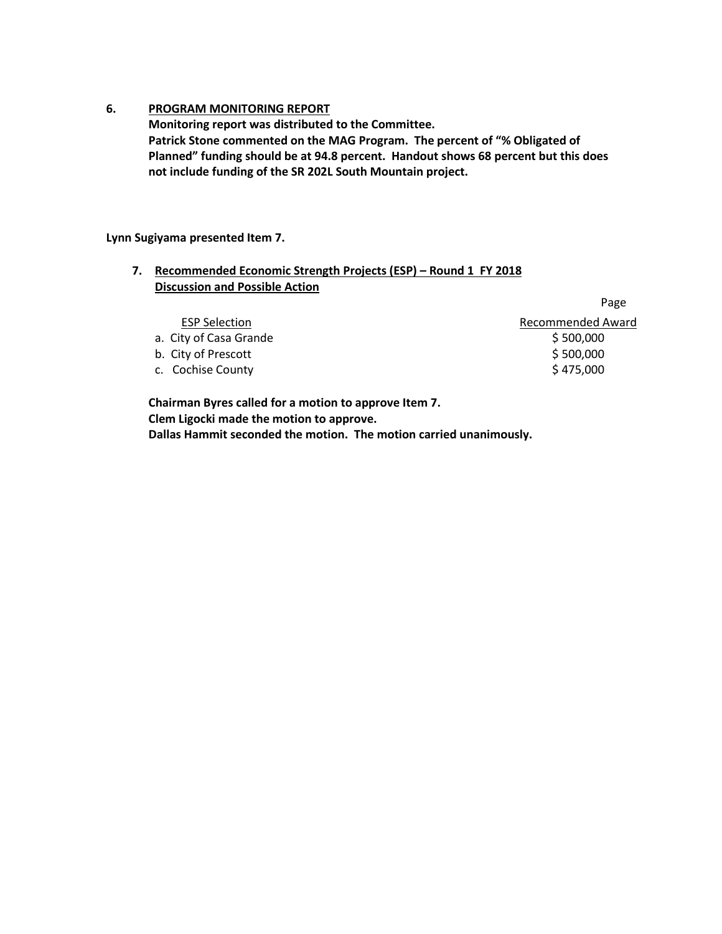## **6. PROGRAM MONITORING REPORT**

**Monitoring report was distributed to the Committee. Patrick Stone commented on the MAG Program. The percent of "% Obligated of Planned" funding should be at 94.8 percent. Handout shows 68 percent but this does not include funding of the SR 202L South Mountain project.** 

**Lynn Sugiyama presented Item 7.** 

## **7. Recommended Economic Strength Projects (ESP) – Round 1 FY 2018 Discussion and Possible Action**

|                        | Page                     |
|------------------------|--------------------------|
| <b>ESP Selection</b>   | <b>Recommended Award</b> |
| a. City of Casa Grande | \$500,000                |
| b. City of Prescott    | \$500,000                |
| c. Cochise County      | \$475,000                |
|                        |                          |

**Chairman Byres called for a motion to approve Item 7. Clem Ligocki made the motion to approve. Dallas Hammit seconded the motion. The motion carried unanimously.**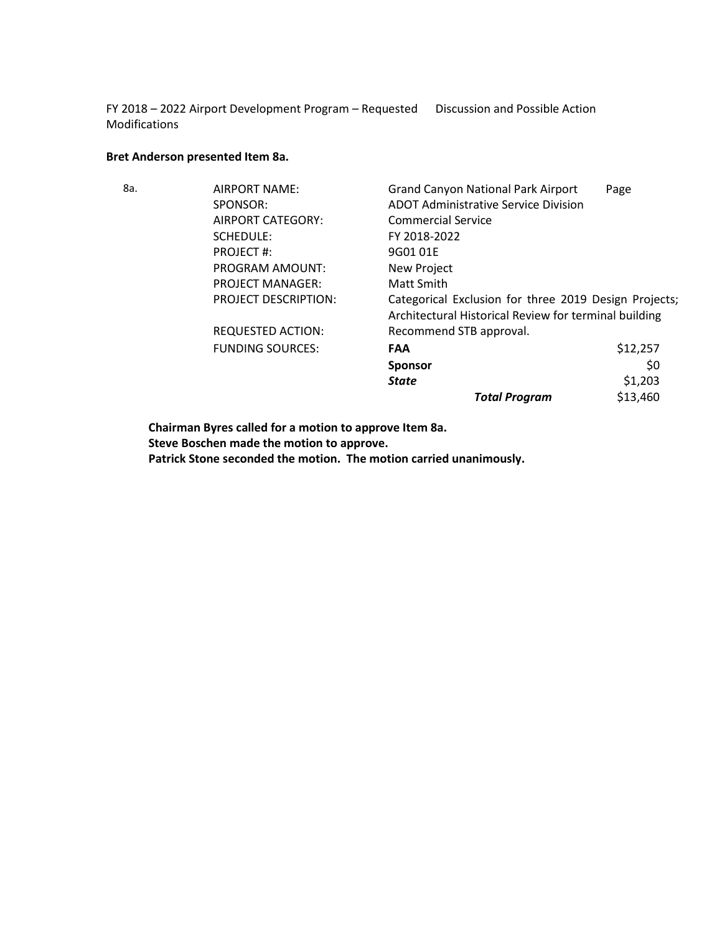FY 2018 – 2022 Airport Development Program – Requested Discussion and Possible Action Modifications

# **Bret Anderson presented Item 8a.**

| 8a. | AIRPORT NAME:               | <b>Grand Canyon National Park Airport</b>                                                                      | Page     |
|-----|-----------------------------|----------------------------------------------------------------------------------------------------------------|----------|
|     | SPONSOR:                    | <b>ADOT Administrative Service Division</b>                                                                    |          |
|     | AIRPORT CATEGORY:           | <b>Commercial Service</b>                                                                                      |          |
|     | <b>SCHEDULE:</b>            | FY 2018-2022                                                                                                   |          |
|     | PROJECT#:                   | 9G0101E                                                                                                        |          |
|     | PROGRAM AMOUNT:             | New Project                                                                                                    |          |
|     | <b>PROJECT MANAGER:</b>     | Matt Smith                                                                                                     |          |
|     | <b>PROJECT DESCRIPTION:</b> | Categorical Exclusion for three 2019 Design Projects;<br>Architectural Historical Review for terminal building |          |
|     | <b>REQUESTED ACTION:</b>    | Recommend STB approval.                                                                                        |          |
|     | <b>FUNDING SOURCES:</b>     | <b>FAA</b>                                                                                                     | \$12,257 |
|     |                             | <b>Sponsor</b>                                                                                                 | \$0      |
|     |                             | <b>State</b>                                                                                                   | \$1,203  |
|     |                             | <b>Total Program</b>                                                                                           | \$13,460 |

**Chairman Byres called for a motion to approve Item 8a. Steve Boschen made the motion to approve.**

**Patrick Stone seconded the motion. The motion carried unanimously.**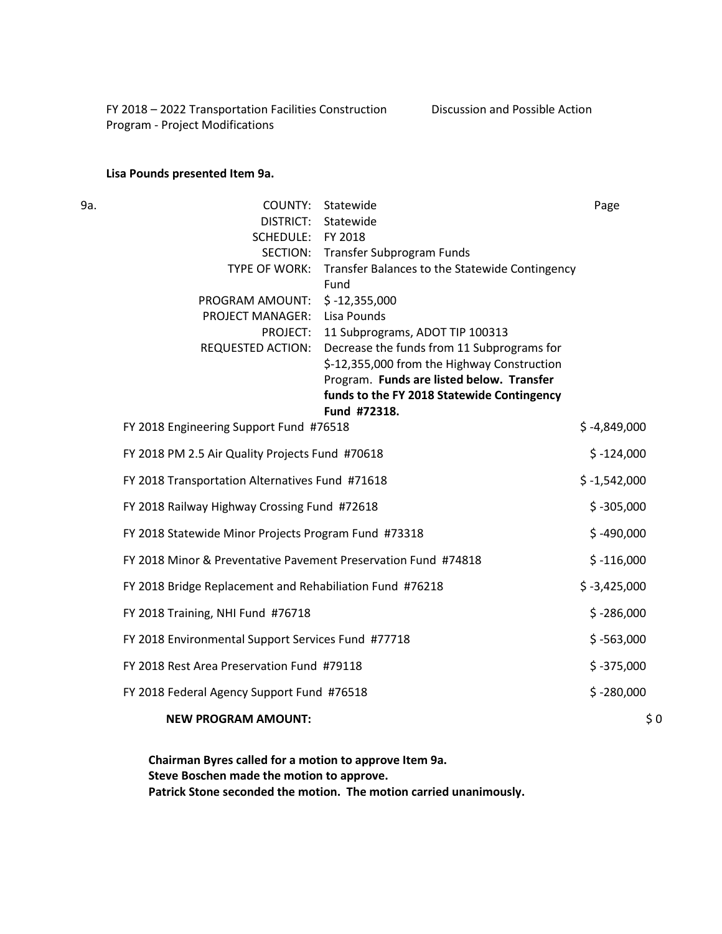FY 2018 – 2022 Transportation Facilities Construction Program - Project Modifications Discussion and Possible Action

#### **Lisa Pounds presented Item 9a.**

9a. COUNTY: Statewide Page DISTRICT: Statewide SCHEDULE: FY 2018 SECTION: Transfer Subprogram Funds TYPE OF WORK: Transfer Balances to the Statewide Contingency Fund PROGRAM AMOUNT: \$ -12,355,000 PROJECT MANAGER: Lisa Pounds PROJECT: 11 Subprograms, ADOT TIP 100313 REQUESTED ACTION: Decrease the funds from 11 Subprograms for \$-12,355,000 from the Highway Construction Program. **Funds are listed below. Transfer funds to the FY 2018 Statewide Contingency Fund #72318.** FY 2018 Engineering Support Fund #76518  $\zeta - 4,849,000$ FY 2018 PM 2.5 Air Quality Projects Fund #70618  $\zeta - 124,000$ FY 2018 Transportation Alternatives Fund #71618  $\zeta - 1,542,000$ FY 2018 Railway Highway Crossing Fund #72618 \$ -305,000 FY 2018 Statewide Minor Projects Program Fund #73318 \$ -490,000 FY 2018 Minor & Preventative Pavement Preservation Fund #74818 \$ -116,000 FY 2018 Bridge Replacement and Rehabiliation Fund #76218  $\frac{1}{5}$ -3,425,000 FY 2018 Training, NHI Fund #76718  $\zeta$ -286,000  $\zeta$ -286,000 FY 2018 Environmental Support Services Fund #77718  $\zeta$  -563,000 \$ -563,000 FY 2018 Rest Area Preservation Fund #79118  $\zeta$  -375,000  $\zeta$  -375,000 FY 2018 Federal Agency Support Fund #76518  $\sim$  5 -280,000 **NEW PROGRAM AMOUNT:**  $\begin{array}{ccc} 50 & 0 & 0 \\ 0 & 0 & 0 \\ 0 & 0 & 0 \\ 0 & 0 & 0 \\ \end{array}$ 

> **Chairman Byres called for a motion to approve Item 9a. Steve Boschen made the motion to approve. Patrick Stone seconded the motion. The motion carried unanimously.**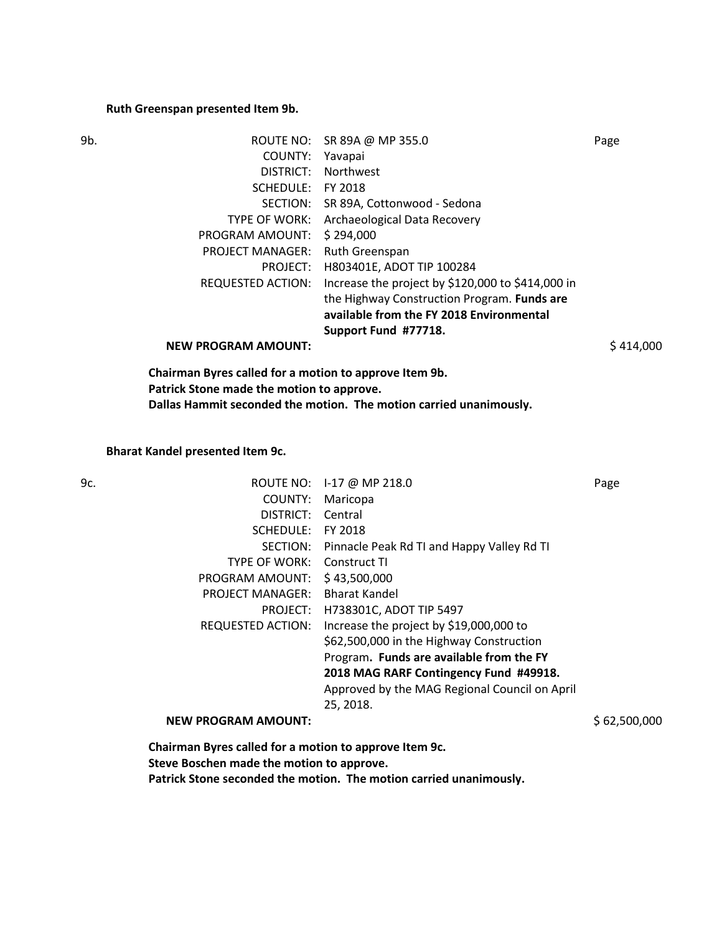#### **Ruth Greenspan presented Item 9b.**

| 9b. | ROUTE NO:                  | SR 89A @ MP 355.0                                 | Page      |
|-----|----------------------------|---------------------------------------------------|-----------|
|     | COUNTY:                    | Yavapai                                           |           |
|     | DISTRICT:                  | <b>Northwest</b>                                  |           |
|     | SCHEDULE:                  | FY 2018                                           |           |
|     | SECTION:                   | SR 89A, Cottonwood - Sedona                       |           |
|     | TYPE OF WORK:              | Archaeological Data Recovery                      |           |
|     | PROGRAM AMOUNT:            | \$294,000                                         |           |
|     | <b>PROJECT MANAGER:</b>    | Ruth Greenspan                                    |           |
|     | PROJECT:                   | H803401E, ADOT TIP 100284                         |           |
|     | REQUESTED ACTION:          | Increase the project by \$120,000 to \$414,000 in |           |
|     |                            | the Highway Construction Program. Funds are       |           |
|     |                            | available from the FY 2018 Environmental          |           |
|     |                            | Support Fund #77718.                              |           |
|     | <b>NEW PROGRAM AMOUNT:</b> |                                                   | \$414,000 |
|     |                            |                                                   |           |

**Chairman Byres called for a motion to approve Item 9b. Patrick Stone made the motion to approve. Dallas Hammit seconded the motion. The motion carried unanimously.**

**Bharat Kandel presented Item 9c.** 

| 9с. |                            | ROUTE NO: 1-17 @ MP 218.0                     | Page         |
|-----|----------------------------|-----------------------------------------------|--------------|
|     | COUNTY:                    | Maricopa                                      |              |
|     | DISTRICT:                  | Central                                       |              |
|     | SCHEDULE:                  | FY 2018                                       |              |
|     | SECTION:                   | Pinnacle Peak Rd TI and Happy Valley Rd TI    |              |
|     | TYPE OF WORK:              | Construct TI                                  |              |
|     | PROGRAM AMOUNT:            | \$43,500,000                                  |              |
|     | <b>PROJECT MANAGER:</b>    | Bharat Kandel                                 |              |
|     | PROJECT:                   | H738301C, ADOT TIP 5497                       |              |
|     | REQUESTED ACTION:          | Increase the project by \$19,000,000 to       |              |
|     |                            | \$62,500,000 in the Highway Construction      |              |
|     |                            | Program. Funds are available from the FY      |              |
|     |                            | 2018 MAG RARF Contingency Fund #49918.        |              |
|     |                            | Approved by the MAG Regional Council on April |              |
|     |                            | 25, 2018.                                     |              |
|     | <b>NEW PROGRAM AMOUNT:</b> |                                               | \$62,500,000 |
|     |                            |                                               |              |

**Chairman Byres called for a motion to approve Item 9c. Steve Boschen made the motion to approve. Patrick Stone seconded the motion. The motion carried unanimously.**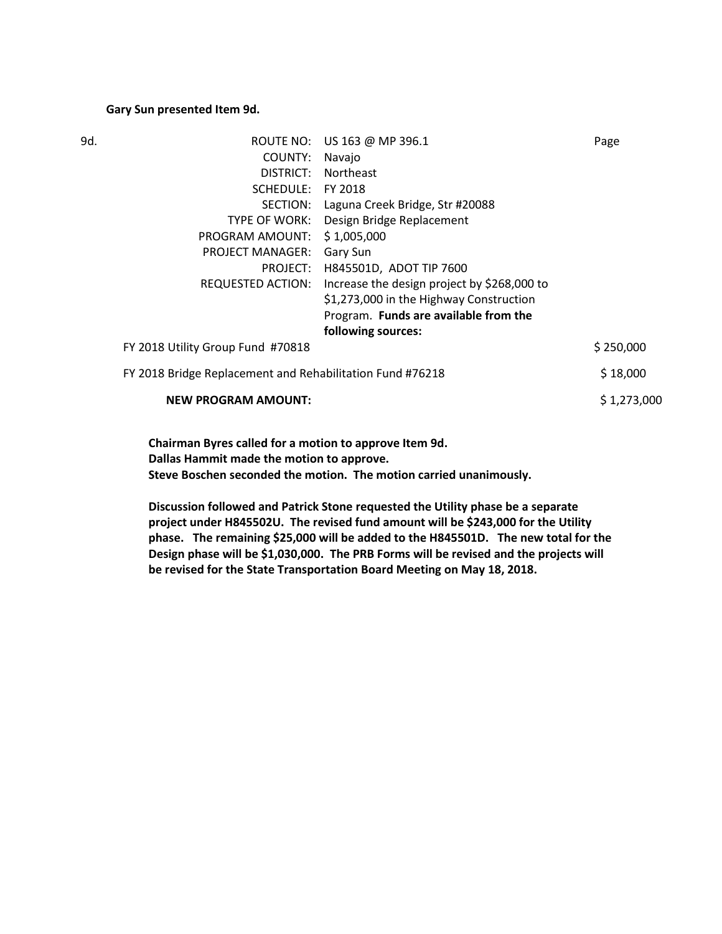#### **Gary Sun presented Item 9d.**

| 9d. | ROUTE NO:                                                 | US 163 @ MP 396.1                           | Page        |
|-----|-----------------------------------------------------------|---------------------------------------------|-------------|
|     | COUNTY:                                                   | Navajo                                      |             |
|     | DISTRICT:                                                 | <b>Northeast</b>                            |             |
|     | SCHEDULE:                                                 | FY 2018                                     |             |
|     | SECTION:                                                  | Laguna Creek Bridge, Str #20088             |             |
|     | TYPE OF WORK:                                             | Design Bridge Replacement                   |             |
|     | PROGRAM AMOUNT:                                           | \$1,005,000                                 |             |
|     | <b>PROJECT MANAGER:</b>                                   | Gary Sun                                    |             |
|     | PROJECT:                                                  | H845501D, ADOT TIP 7600                     |             |
|     | REQUESTED ACTION:                                         | Increase the design project by \$268,000 to |             |
|     |                                                           | \$1,273,000 in the Highway Construction     |             |
|     |                                                           | Program. Funds are available from the       |             |
|     |                                                           | following sources:                          |             |
|     | FY 2018 Utility Group Fund #70818                         |                                             | \$250,000   |
|     | FY 2018 Bridge Replacement and Rehabilitation Fund #76218 |                                             | \$18,000    |
|     | <b>NEW PROGRAM AMOUNT:</b>                                |                                             | \$1,273,000 |
|     |                                                           |                                             |             |

**Chairman Byres called for a motion to approve Item 9d. Dallas Hammit made the motion to approve. Steve Boschen seconded the motion. The motion carried unanimously.**

**Discussion followed and Patrick Stone requested the Utility phase be a separate project under H845502U. The revised fund amount will be \$243,000 for the Utility phase. The remaining \$25,000 will be added to the H845501D. The new total for the Design phase will be \$1,030,000. The PRB Forms will be revised and the projects will be revised for the State Transportation Board Meeting on May 18, 2018.**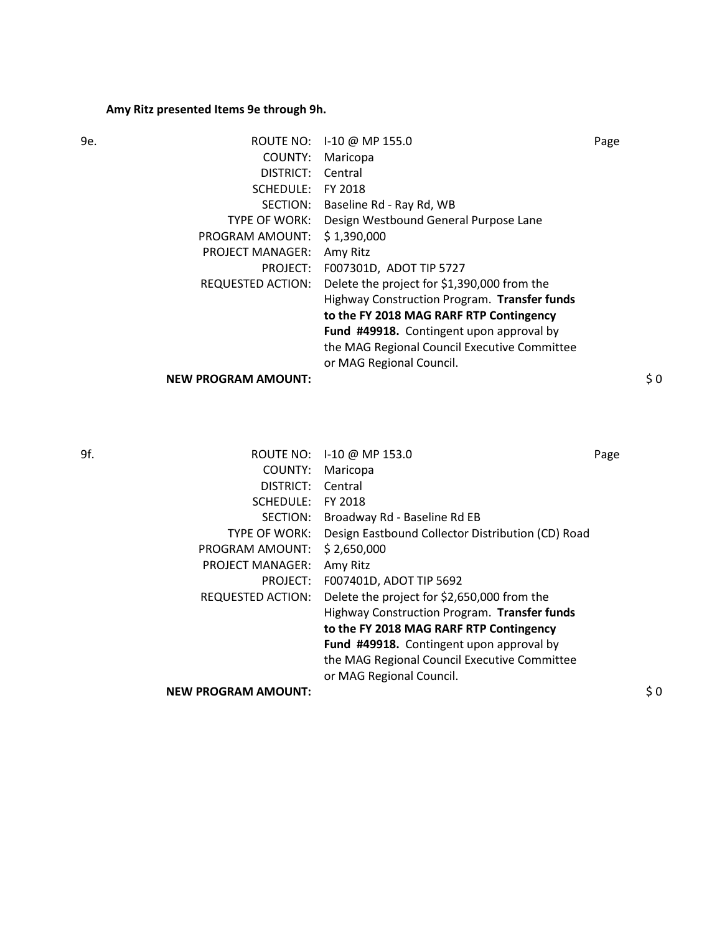# **Amy Ritz presented Items 9e through 9h.**

| 9e. |                            | ROUTE NO: 1-10 @ MP 155.0                    | Page |
|-----|----------------------------|----------------------------------------------|------|
|     | COUNTY:                    | Maricopa                                     |      |
|     | DISTRICT:                  | Central                                      |      |
|     | SCHEDULE:                  | FY 2018                                      |      |
|     | SECTION:                   | Baseline Rd - Ray Rd, WB                     |      |
|     | TYPE OF WORK:              | Design Westbound General Purpose Lane        |      |
|     | PROGRAM AMOUNT:            | \$1,390,000                                  |      |
|     | <b>PROJECT MANAGER:</b>    | Amy Ritz                                     |      |
|     | PROJECT:                   | F007301D, ADOT TIP 5727                      |      |
|     | REQUESTED ACTION:          | Delete the project for \$1,390,000 from the  |      |
|     |                            | Highway Construction Program. Transfer funds |      |
|     |                            | to the FY 2018 MAG RARF RTP Contingency      |      |
|     |                            | Fund #49918. Contingent upon approval by     |      |
|     |                            | the MAG Regional Council Executive Committee |      |
|     |                            | or MAG Regional Council.                     |      |
|     | <b>NEW PROGRAM AMOUNT:</b> |                                              | \$0  |
|     |                            |                                              |      |

| 9f. | ROUTE NO:                  | I-10 @ MP 153.0                                   | Page |
|-----|----------------------------|---------------------------------------------------|------|
|     | COUNTY:                    | Maricopa                                          |      |
|     | DISTRICT:                  | Central                                           |      |
|     | <b>SCHEDULE:</b>           | FY 2018                                           |      |
|     | SECTION:                   | Broadway Rd - Baseline Rd EB                      |      |
|     | TYPE OF WORK:              | Design Eastbound Collector Distribution (CD) Road |      |
|     | PROGRAM AMOUNT:            | \$2,650,000                                       |      |
|     | <b>PROJECT MANAGER:</b>    | Amy Ritz                                          |      |
|     | PROJECT:                   | F007401D, ADOT TIP 5692                           |      |
|     | <b>REQUESTED ACTION:</b>   | Delete the project for \$2,650,000 from the       |      |
|     |                            | Highway Construction Program. Transfer funds      |      |
|     |                            | to the FY 2018 MAG RARF RTP Contingency           |      |
|     |                            | Fund #49918. Contingent upon approval by          |      |
|     |                            | the MAG Regional Council Executive Committee      |      |
|     |                            | or MAG Regional Council.                          |      |
|     | <b>NEW PROGRAM AMOUNT:</b> |                                                   | \$0  |
|     |                            |                                                   |      |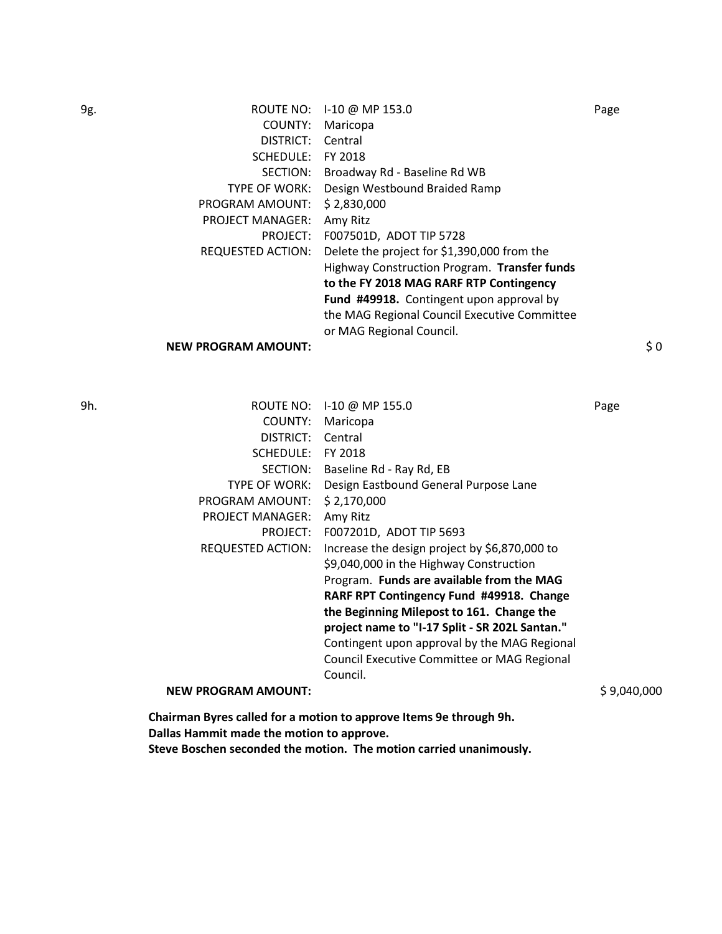| 9g. |                            | ROUTE NO: I-10 @ MP 153.0                    | Page      |
|-----|----------------------------|----------------------------------------------|-----------|
|     | COUNTY:                    | Maricopa                                     |           |
|     | DISTRICT:                  | Central                                      |           |
|     | SCHEDULE:                  | FY 2018                                      |           |
|     | SECTION:                   | Broadway Rd - Baseline Rd WB                 |           |
|     | <b>TYPE OF WORK:</b>       | Design Westbound Braided Ramp                |           |
|     | PROGRAM AMOUNT:            | \$2,830,000                                  |           |
|     | <b>PROJECT MANAGER:</b>    | Amy Ritz                                     |           |
|     | PROJECT:                   | F007501D, ADOT TIP 5728                      |           |
|     | REQUESTED ACTION:          | Delete the project for \$1,390,000 from the  |           |
|     |                            | Highway Construction Program. Transfer funds |           |
|     |                            | to the FY 2018 MAG RARF RTP Contingency      |           |
|     |                            | Fund #49918. Contingent upon approval by     |           |
|     |                            | the MAG Regional Council Executive Committee |           |
|     |                            | or MAG Regional Council.                     |           |
|     | <b>NEW PROGRAM AMOUNT:</b> |                                              | $\zeta$ 0 |

| 9h. | ROUTE NO:                  | $1-10 \omega$ MP 155.0                         | Page        |
|-----|----------------------------|------------------------------------------------|-------------|
|     | COUNTY:                    | Maricopa                                       |             |
|     | DISTRICT:                  | Central                                        |             |
|     | SCHEDULE:                  | FY 2018                                        |             |
|     | SECTION:                   | Baseline Rd - Ray Rd, EB                       |             |
|     | TYPE OF WORK:              | Design Eastbound General Purpose Lane          |             |
|     | PROGRAM AMOUNT:            | \$2,170,000                                    |             |
|     | <b>PROJECT MANAGER:</b>    | Amy Ritz                                       |             |
|     | PROJECT:                   | F007201D, ADOT TIP 5693                        |             |
|     | REQUESTED ACTION:          | Increase the design project by \$6,870,000 to  |             |
|     |                            | \$9,040,000 in the Highway Construction        |             |
|     |                            | Program. Funds are available from the MAG      |             |
|     |                            | RARF RPT Contingency Fund #49918. Change       |             |
|     |                            | the Beginning Milepost to 161. Change the      |             |
|     |                            | project name to "I-17 Split - SR 202L Santan." |             |
|     |                            | Contingent upon approval by the MAG Regional   |             |
|     |                            | Council Executive Committee or MAG Regional    |             |
|     |                            | Council.                                       |             |
|     | <b>NEW PROGRAM AMOUNT:</b> |                                                | S 9.040.000 |
|     |                            |                                                |             |

**Chairman Byres called for a motion to approve Items 9e through 9h. Dallas Hammit made the motion to approve. Steve Boschen seconded the motion. The motion carried unanimously.**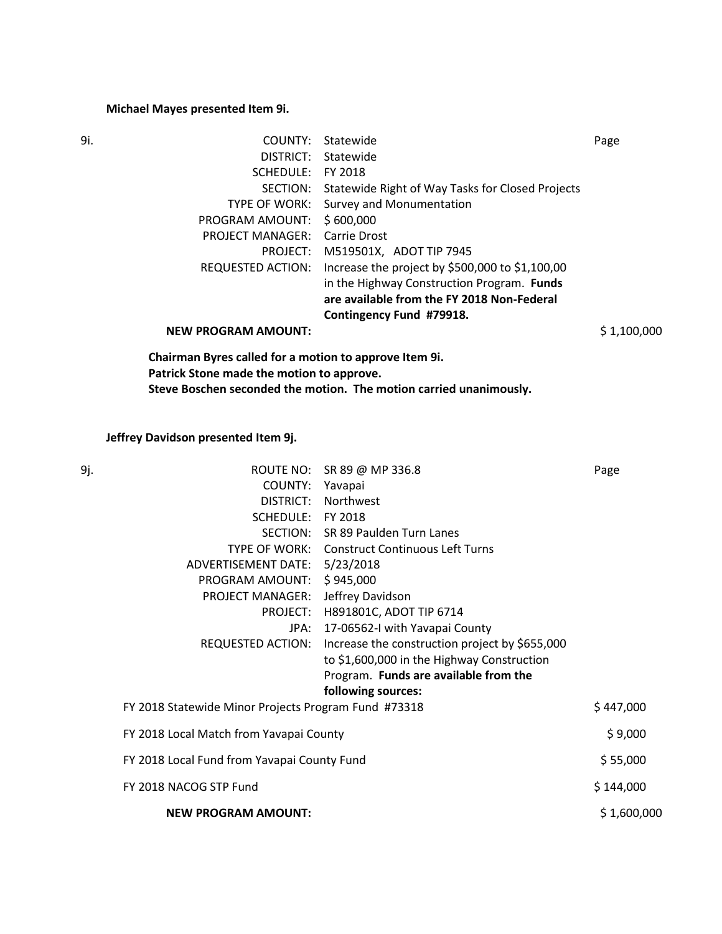# **Michael Mayes presented Item 9i.**

| 9i. | COUNTY:                                                | Statewide                                        | Page        |
|-----|--------------------------------------------------------|--------------------------------------------------|-------------|
|     | DISTRICT:                                              | Statewide                                        |             |
|     | SCHEDULE:                                              | FY 2018                                          |             |
|     | SECTION:                                               | Statewide Right of Way Tasks for Closed Projects |             |
|     | <b>TYPE OF WORK:</b>                                   | Survey and Monumentation                         |             |
|     | PROGRAM AMOUNT:                                        | \$600,000                                        |             |
|     | <b>PROJECT MANAGER:</b>                                | Carrie Drost                                     |             |
|     | PROJECT:                                               | M519501X, ADOT TIP 7945                          |             |
|     | REQUESTED ACTION:                                      | Increase the project by \$500,000 to \$1,100,00  |             |
|     |                                                        | in the Highway Construction Program. Funds       |             |
|     |                                                        | are available from the FY 2018 Non-Federal       |             |
|     |                                                        | Contingency Fund #79918.                         |             |
|     | <b>NEW PROGRAM AMOUNT:</b>                             |                                                  | \$1,100,000 |
|     | Chairman Byres called for a motion to approve Item 9i. |                                                  |             |

**Patrick Stone made the motion to approve. Steve Boschen seconded the motion. The motion carried unanimously.**

**Jeffrey Davidson presented Item 9j.** 

| 9j. |                                                      | ROUTE NO: SR 89 @ MP 336.8                                       | Page        |
|-----|------------------------------------------------------|------------------------------------------------------------------|-------------|
|     | COUNTY: Yavapai                                      |                                                                  |             |
|     | DISTRICT:                                            | Northwest                                                        |             |
|     | SCHEDULE: FY 2018                                    |                                                                  |             |
|     |                                                      | SECTION: SR 89 Paulden Turn Lanes                                |             |
|     |                                                      | TYPE OF WORK: Construct Continuous Left Turns                    |             |
|     | ADVERTISEMENT DATE: 5/23/2018                        |                                                                  |             |
|     | PROGRAM AMOUNT:                                      | \$945,000                                                        |             |
|     | <b>PROJECT MANAGER:</b>                              | Jeffrey Davidson                                                 |             |
|     | PROJECT:                                             | H891801C, ADOT TIP 6714                                          |             |
|     | JPA:                                                 | 17-06562-I with Yavapai County                                   |             |
|     |                                                      | REQUESTED ACTION: Increase the construction project by \$655,000 |             |
|     |                                                      | to \$1,600,000 in the Highway Construction                       |             |
|     |                                                      | Program. Funds are available from the                            |             |
|     |                                                      | following sources:                                               |             |
|     | FY 2018 Statewide Minor Projects Program Fund #73318 |                                                                  | \$447,000   |
|     | FY 2018 Local Match from Yavapai County              |                                                                  | \$9,000     |
|     | FY 2018 Local Fund from Yavapai County Fund          |                                                                  | \$55,000    |
|     | FY 2018 NACOG STP Fund                               |                                                                  | \$144,000   |
|     | <b>NEW PROGRAM AMOUNT:</b>                           |                                                                  | \$1,600,000 |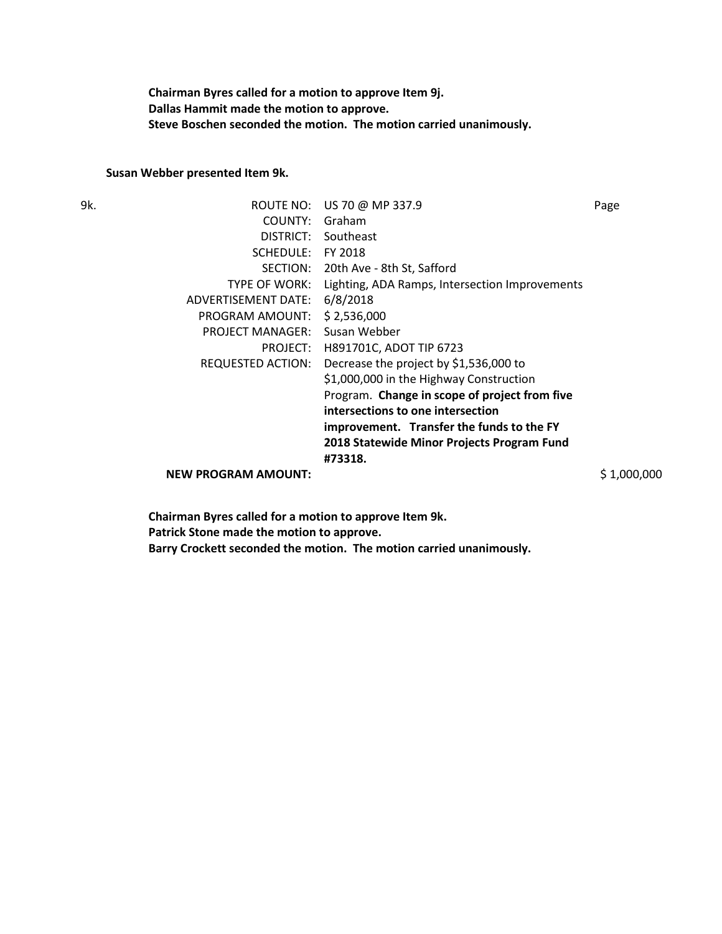**Chairman Byres called for a motion to approve Item 9j. Dallas Hammit made the motion to approve. Steve Boschen seconded the motion. The motion carried unanimously.**

#### **Susan Webber presented Item 9k.**

| 9k. | ROUTE NO:                  | US 70 @ MP 337.9                               | Page        |
|-----|----------------------------|------------------------------------------------|-------------|
|     | COUNTY:                    | Graham                                         |             |
|     | DISTRICT:                  | Southeast                                      |             |
|     | SCHEDULE:                  | FY 2018                                        |             |
|     | SECTION:                   | 20th Ave - 8th St, Safford                     |             |
|     | <b>TYPE OF WORK:</b>       | Lighting, ADA Ramps, Intersection Improvements |             |
|     | ADVERTISEMENT DATE:        | 6/8/2018                                       |             |
|     | PROGRAM AMOUNT:            | \$2,536,000                                    |             |
|     | <b>PROJECT MANAGER:</b>    | Susan Webber                                   |             |
|     | PROJECT:                   | H891701C, ADOT TIP 6723                        |             |
|     | <b>REQUESTED ACTION:</b>   | Decrease the project by \$1,536,000 to         |             |
|     |                            | \$1,000,000 in the Highway Construction        |             |
|     |                            | Program. Change in scope of project from five  |             |
|     |                            | intersections to one intersection              |             |
|     |                            | improvement. Transfer the funds to the FY      |             |
|     |                            | 2018 Statewide Minor Projects Program Fund     |             |
|     |                            | #73318.                                        |             |
|     | <b>NEW PROGRAM AMOUNT:</b> |                                                | \$1,000,000 |

**Chairman Byres called for a motion to approve Item 9k. Patrick Stone made the motion to approve. Barry Crockett seconded the motion. The motion carried unanimously.**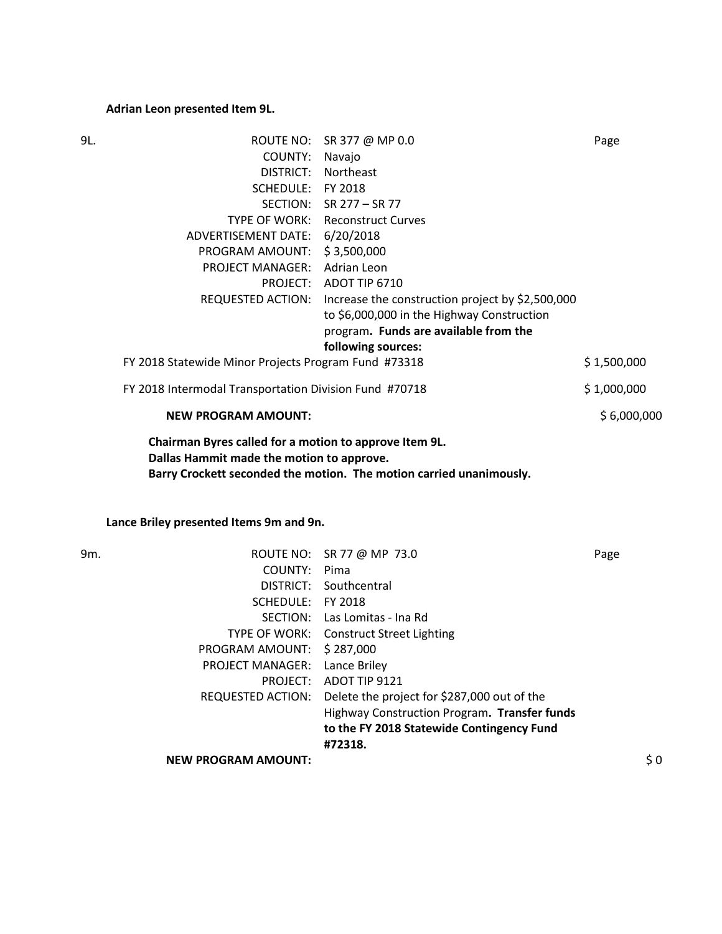# **Adrian Leon presented Item 9L.**

| 9L. |                                                                                                     | ROUTE NO: SR 377 @ MP 0.0                                           | Page        |
|-----|-----------------------------------------------------------------------------------------------------|---------------------------------------------------------------------|-------------|
|     | COUNTY:                                                                                             | Navajo                                                              |             |
|     | DISTRICT:                                                                                           | Northeast                                                           |             |
|     | SCHEDULE: FY 2018                                                                                   |                                                                     |             |
|     | SECTION:                                                                                            | SR 277 – SR 77                                                      |             |
|     |                                                                                                     | <b>TYPE OF WORK: Reconstruct Curves</b>                             |             |
|     | ADVERTISEMENT DATE: 6/20/2018                                                                       |                                                                     |             |
|     | PROGRAM AMOUNT:                                                                                     | \$3,500,000                                                         |             |
|     | PROJECT MANAGER: Adrian Leon                                                                        |                                                                     |             |
|     |                                                                                                     | PROJECT: ADOT TIP 6710                                              |             |
|     |                                                                                                     | REQUESTED ACTION: Increase the construction project by \$2,500,000  |             |
|     |                                                                                                     | to \$6,000,000 in the Highway Construction                          |             |
|     |                                                                                                     | program. Funds are available from the                               |             |
|     |                                                                                                     | following sources:                                                  |             |
|     | FY 2018 Statewide Minor Projects Program Fund #73318                                                |                                                                     | \$1,500,000 |
|     | FY 2018 Intermodal Transportation Division Fund #70718                                              |                                                                     | \$1,000,000 |
|     | <b>NEW PROGRAM AMOUNT:</b>                                                                          |                                                                     | \$6,000,000 |
|     | Chairman Byres called for a motion to approve Item 9L.<br>Dallas Hammit made the motion to approve. | Barry Crockett seconded the motion. The motion carried unanimously. |             |

# **Lance Briley presented Items 9m and 9n.**

| $\frac{1}{2}0$ |
|----------------|
|                |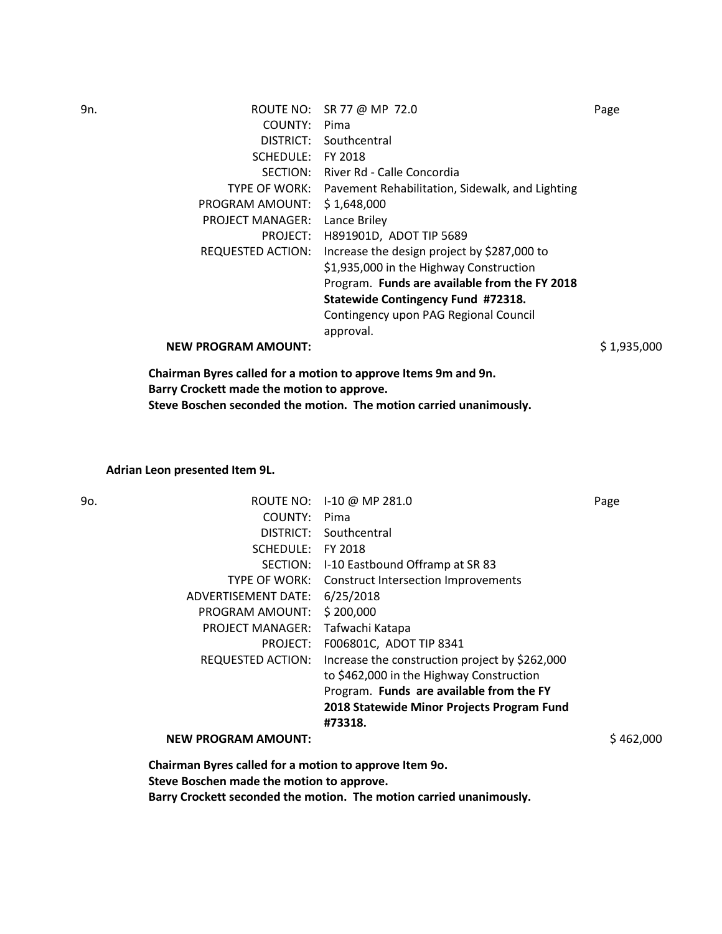| 9n. |                            | ROUTE NO: SR 77 @ MP 72.0                                     | Page        |
|-----|----------------------------|---------------------------------------------------------------|-------------|
|     | COUNTY:                    | Pima                                                          |             |
|     | DISTRICT:                  | Southcentral                                                  |             |
|     | SCHEDULE:                  | FY 2018                                                       |             |
|     | SECTION:                   | River Rd - Calle Concordia                                    |             |
|     |                            | TYPE OF WORK: Pavement Rehabilitation, Sidewalk, and Lighting |             |
|     | PROGRAM AMOUNT:            | \$1,648,000                                                   |             |
|     | <b>PROJECT MANAGER:</b>    | Lance Briley                                                  |             |
|     | PROJECT:                   | H891901D, ADOT TIP 5689                                       |             |
|     | REQUESTED ACTION:          | Increase the design project by \$287,000 to                   |             |
|     |                            | \$1,935,000 in the Highway Construction                       |             |
|     |                            | Program. Funds are available from the FY 2018                 |             |
|     |                            | Statewide Contingency Fund #72318.                            |             |
|     |                            | Contingency upon PAG Regional Council                         |             |
|     |                            | approval.                                                     |             |
|     | <b>NEW PROGRAM AMOUNT:</b> |                                                               | \$1,935,000 |
|     |                            | Chairman Burge called for a motion to annrous Itoms Am and An |             |

**Chairman Byres called for a motion to approve Items 9m and 9n. Barry Crockett made the motion to approve. Steve Boschen seconded the motion. The motion carried unanimously.**

**Adrian Leon presented Item 9L.** 

| ROUTE NO:                  |                                                | Page                                               |
|----------------------------|------------------------------------------------|----------------------------------------------------|
| COUNTY:                    | Pima                                           |                                                    |
| DISTRICT:                  | Southcentral                                   |                                                    |
| SCHEDULE:                  | FY 2018                                        |                                                    |
| SECTION:                   |                                                |                                                    |
| TYPE OF WORK:              | <b>Construct Intersection Improvements</b>     |                                                    |
| ADVERTISEMENT DATE:        | 6/25/2018                                      |                                                    |
| PROGRAM AMOUNT:            | \$200,000                                      |                                                    |
| <b>PROJECT MANAGER:</b>    | Tafwachi Katapa                                |                                                    |
| PROJECT:                   | F006801C, ADOT TIP 8341                        |                                                    |
| REQUESTED ACTION:          | Increase the construction project by \$262,000 |                                                    |
|                            | to \$462,000 in the Highway Construction       |                                                    |
|                            | Program. Funds are available from the FY       |                                                    |
|                            | 2018 Statewide Minor Projects Program Fund     |                                                    |
|                            | #73318.                                        |                                                    |
| <b>NEW PROGRAM AMOUNT:</b> |                                                | \$462,000                                          |
|                            |                                                | I-10 @ MP 281.0<br>I-10 Eastbound Offramp at SR 83 |

**Chairman Byres called for a motion to approve Item 9o. Steve Boschen made the motion to approve. Barry Crockett seconded the motion. The motion carried unanimously.**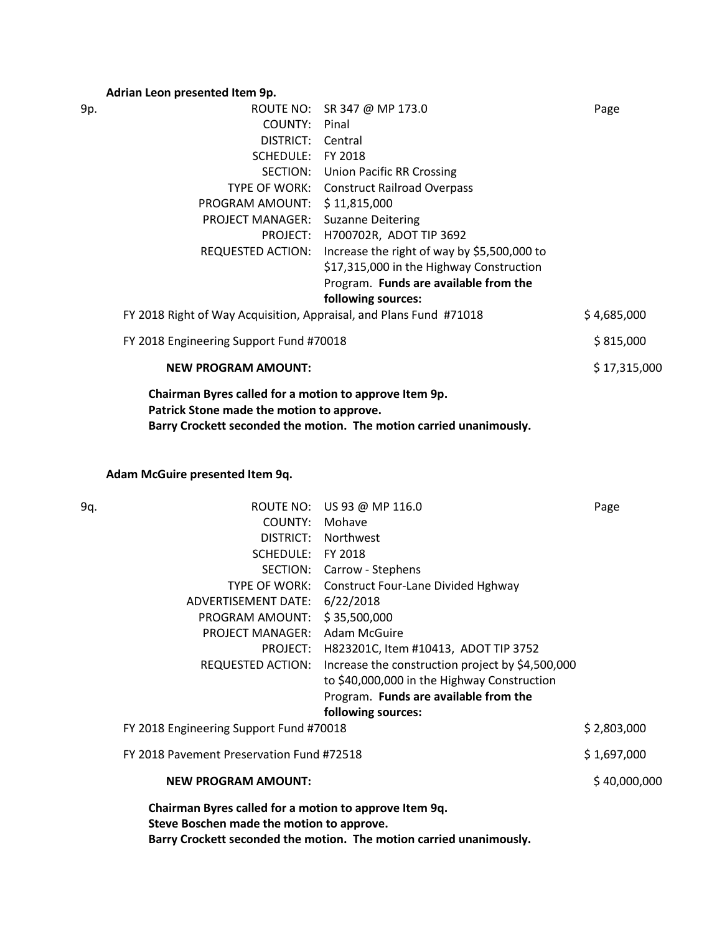## **Adrian Leon presented Item 9p.**

| 9p. |                                                                                                     | ROUTE NO: SR 347 @ MP 173.0                                         | Page         |
|-----|-----------------------------------------------------------------------------------------------------|---------------------------------------------------------------------|--------------|
|     | COUNTY:                                                                                             | Pinal                                                               |              |
|     | DISTRICT: Central                                                                                   |                                                                     |              |
|     | SCHEDULE:                                                                                           | FY 2018                                                             |              |
|     |                                                                                                     | SECTION: Union Pacific RR Crossing                                  |              |
|     | TYPE OF WORK:                                                                                       | <b>Construct Railroad Overpass</b>                                  |              |
|     | PROGRAM AMOUNT:                                                                                     | \$11,815,000                                                        |              |
|     | <b>PROJECT MANAGER:</b>                                                                             | <b>Suzanne Deitering</b>                                            |              |
|     | PROJECT:                                                                                            | H700702R, ADOT TIP 3692                                             |              |
|     | <b>REQUESTED ACTION:</b>                                                                            | Increase the right of way by \$5,500,000 to                         |              |
|     |                                                                                                     | \$17,315,000 in the Highway Construction                            |              |
|     |                                                                                                     | Program. Funds are available from the                               |              |
|     |                                                                                                     | following sources:                                                  |              |
|     | FY 2018 Right of Way Acquisition, Appraisal, and Plans Fund #71018                                  |                                                                     | \$4,685,000  |
|     | FY 2018 Engineering Support Fund #70018                                                             |                                                                     | \$815,000    |
|     | <b>NEW PROGRAM AMOUNT:</b>                                                                          |                                                                     | \$17,315,000 |
|     | Chairman Byres called for a motion to approve Item 9p.<br>Patrick Stone made the motion to approve. | Barry Crockett seconded the motion. The motion carried unanimously. |              |

**Adam McGuire presented Item 9q.** 

| 9q. |                                                                                                     | ROUTE NO: US 93 @ MP 116.0                                          | Page         |
|-----|-----------------------------------------------------------------------------------------------------|---------------------------------------------------------------------|--------------|
|     | COUNTY:                                                                                             | Mohave                                                              |              |
|     | DISTRICT:                                                                                           | Northwest                                                           |              |
|     | SCHEDULE: FY 2018                                                                                   |                                                                     |              |
|     |                                                                                                     | SECTION: Carrow - Stephens                                          |              |
|     | TYPE OF WORK:                                                                                       | <b>Construct Four-Lane Divided Hghway</b>                           |              |
|     | ADVERTISEMENT DATE:                                                                                 | 6/22/2018                                                           |              |
|     | PROGRAM AMOUNT:                                                                                     | \$35,500,000                                                        |              |
|     | <b>PROJECT MANAGER:</b>                                                                             | Adam McGuire                                                        |              |
|     | PROJECT:                                                                                            | H823201C, Item #10413, ADOT TIP 3752                                |              |
|     | <b>REQUESTED ACTION:</b>                                                                            | Increase the construction project by \$4,500,000                    |              |
|     |                                                                                                     | to \$40,000,000 in the Highway Construction                         |              |
|     |                                                                                                     | Program. Funds are available from the                               |              |
|     |                                                                                                     | following sources:                                                  |              |
|     | FY 2018 Engineering Support Fund #70018                                                             |                                                                     | \$2,803,000  |
|     | FY 2018 Pavement Preservation Fund #72518                                                           |                                                                     | \$1,697,000  |
|     | <b>NEW PROGRAM AMOUNT:</b>                                                                          |                                                                     | \$40,000,000 |
|     | Chairman Byres called for a motion to approve Item 9q.<br>Steve Boschen made the motion to approve. | Barry Crockett seconded the motion. The motion carried unanimously. |              |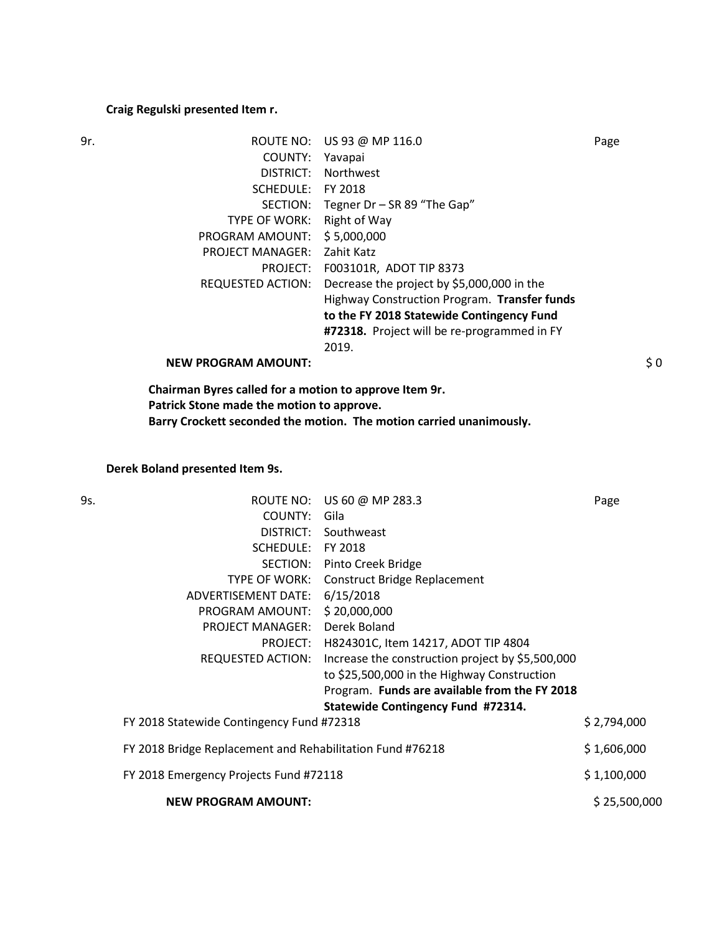# **Craig Regulski presented Item r.**

| 9r. | ROUTE NO:                  | US 93 @ MP 116.0                             | Page |
|-----|----------------------------|----------------------------------------------|------|
|     | COUNTY:                    | Yavapai                                      |      |
|     | DISTRICT:                  | Northwest                                    |      |
|     | SCHEDULE:                  | FY 2018                                      |      |
|     | SECTION:                   | Tegner $Dr - SR 89$ "The Gap"                |      |
|     | TYPE OF WORK:              | Right of Way                                 |      |
|     | PROGRAM AMOUNT:            | \$5,000,000                                  |      |
|     | <b>PROJECT MANAGER:</b>    | Zahit Katz                                   |      |
|     | PROJECT:                   | F003101R, ADOT TIP 8373                      |      |
|     | <b>REQUESTED ACTION:</b>   | Decrease the project by \$5,000,000 in the   |      |
|     |                            | Highway Construction Program. Transfer funds |      |
|     |                            | to the FY 2018 Statewide Contingency Fund    |      |
|     |                            | #72318. Project will be re-programmed in FY  |      |
|     |                            | 2019.                                        |      |
|     | <b>NEW PROGRAM AMOUNT:</b> |                                              | \$0  |
|     |                            |                                              |      |

**Chairman Byres called for a motion to approve Item 9r. Patrick Stone made the motion to approve. Barry Crockett seconded the motion. The motion carried unanimously.**

# **Derek Boland presented Item 9s.**

| 9s. |                                                           | ROUTE NO: US 60 @ MP 283.3                       | Page         |
|-----|-----------------------------------------------------------|--------------------------------------------------|--------------|
|     | COUNTY:                                                   | Gila                                             |              |
|     |                                                           | DISTRICT: Southweast                             |              |
|     | SCHEDULE:                                                 | FY 2018                                          |              |
|     | SECTION:                                                  | Pinto Creek Bridge                               |              |
|     | TYPE OF WORK:                                             | <b>Construct Bridge Replacement</b>              |              |
|     | ADVERTISEMENT DATE: 6/15/2018                             |                                                  |              |
|     | PROGRAM AMOUNT: \$20,000,000                              |                                                  |              |
|     | PROJECT MANAGER:                                          | Derek Boland                                     |              |
|     | PROJECT:                                                  | H824301C, Item 14217, ADOT TIP 4804              |              |
|     | REQUESTED ACTION:                                         | Increase the construction project by \$5,500,000 |              |
|     |                                                           | to \$25,500,000 in the Highway Construction      |              |
|     |                                                           | Program. Funds are available from the FY 2018    |              |
|     |                                                           | Statewide Contingency Fund #72314.               |              |
|     | FY 2018 Statewide Contingency Fund #72318                 |                                                  | \$2,794,000  |
|     | FY 2018 Bridge Replacement and Rehabilitation Fund #76218 |                                                  | \$1,606,000  |
|     | FY 2018 Emergency Projects Fund #72118                    |                                                  | \$1,100,000  |
|     | <b>NEW PROGRAM AMOUNT:</b>                                |                                                  | \$25,500,000 |
|     |                                                           |                                                  |              |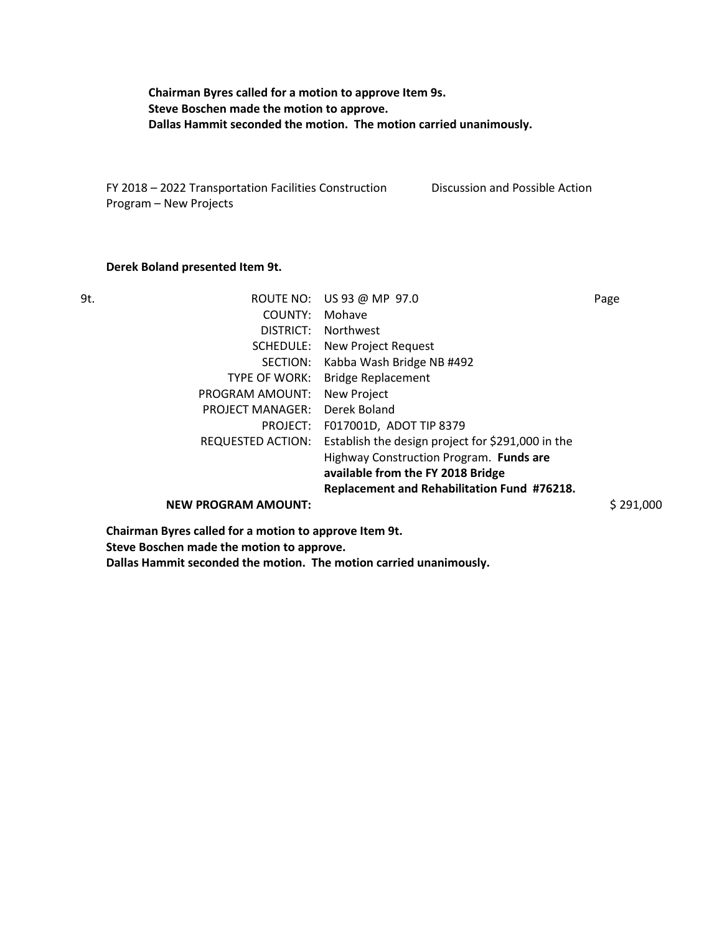**Chairman Byres called for a motion to approve Item 9s. Steve Boschen made the motion to approve. Dallas Hammit seconded the motion. The motion carried unanimously.**

FY 2018 – 2022 Transportation Facilities Construction Program – New Projects Discussion and Possible Action

#### **Derek Boland presented Item 9t.**

| 9t. | ROUTE NO:                  | US 93 @ MP 97.0                                   | Page      |
|-----|----------------------------|---------------------------------------------------|-----------|
|     | COUNTY:                    | Mohave                                            |           |
|     | DISTRICT:                  | Northwest                                         |           |
|     | SCHEDULE:                  | New Project Request                               |           |
|     | SECTION:                   | Kabba Wash Bridge NB #492                         |           |
|     | TYPE OF WORK:              | <b>Bridge Replacement</b>                         |           |
|     | PROGRAM AMOUNT:            | New Project                                       |           |
|     | <b>PROJECT MANAGER:</b>    | Derek Boland                                      |           |
|     | PROJECT:                   | F017001D, ADOT TIP 8379                           |           |
|     | REQUESTED ACTION:          | Establish the design project for \$291,000 in the |           |
|     |                            | Highway Construction Program. Funds are           |           |
|     |                            | available from the FY 2018 Bridge                 |           |
|     |                            | Replacement and Rehabilitation Fund #76218.       |           |
|     | <b>NEW PROGRAM AMOUNT:</b> |                                                   | \$291,000 |
|     |                            |                                                   |           |

**Chairman Byres called for a motion to approve Item 9t.** 

**Steve Boschen made the motion to approve.**

**Dallas Hammit seconded the motion. The motion carried unanimously.**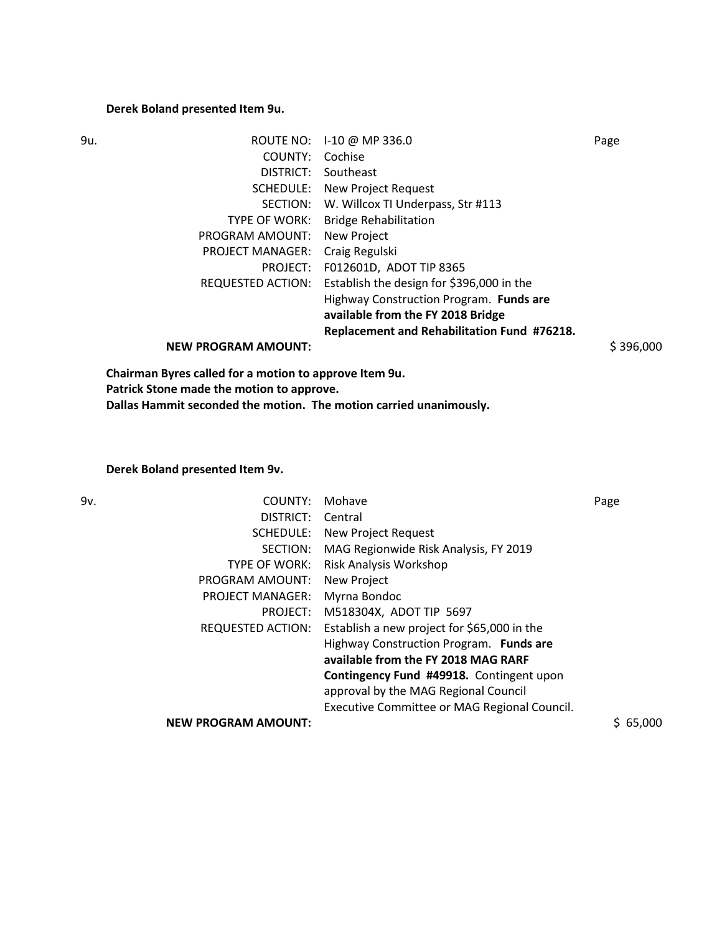# **Derek Boland presented Item 9u.**

| 9u. | ROUTE NO:                                              | 1-10 @ MP 336.0                             | Page      |
|-----|--------------------------------------------------------|---------------------------------------------|-----------|
|     | COUNTY:                                                | Cochise                                     |           |
|     | DISTRICT:                                              | Southeast                                   |           |
|     | SCHEDULE:                                              | New Project Request                         |           |
|     | SECTION:                                               | W. Willcox TI Underpass, Str #113           |           |
|     | TYPE OF WORK:                                          | <b>Bridge Rehabilitation</b>                |           |
|     | PROGRAM AMOUNT:                                        | New Project                                 |           |
|     | <b>PROJECT MANAGER:</b>                                | Craig Regulski                              |           |
|     | PROJECT:                                               | F012601D, ADOT TIP 8365                     |           |
|     | <b>REQUESTED ACTION:</b>                               | Establish the design for \$396,000 in the   |           |
|     |                                                        | Highway Construction Program. Funds are     |           |
|     |                                                        | available from the FY 2018 Bridge           |           |
|     |                                                        | Replacement and Rehabilitation Fund #76218. |           |
|     | <b>NEW PROGRAM AMOUNT:</b>                             |                                             | \$396,000 |
|     | Chairman Byres called for a motion to approve Item 9u. |                                             |           |

**Patrick Stone made the motion to approve.**

**Dallas Hammit seconded the motion. The motion carried unanimously.**

# **Derek Boland presented Item 9v.**

| COUNTY:                    | Mohave                                       | Page     |
|----------------------------|----------------------------------------------|----------|
| DISTRICT:                  | Central                                      |          |
| SCHEDULE:                  | New Project Request                          |          |
| SECTION:                   | MAG Regionwide Risk Analysis, FY 2019        |          |
| <b>TYPE OF WORK:</b>       | Risk Analysis Workshop                       |          |
| PROGRAM AMOUNT:            | New Project                                  |          |
| <b>PROJECT MANAGER:</b>    | Myrna Bondoc                                 |          |
| PROJECT:                   | M518304X, ADOT TIP 5697                      |          |
| REQUESTED ACTION:          | Establish a new project for \$65,000 in the  |          |
|                            | Highway Construction Program. Funds are      |          |
|                            | available from the FY 2018 MAG RARF          |          |
|                            | Contingency Fund #49918. Contingent upon     |          |
|                            | approval by the MAG Regional Council         |          |
|                            | Executive Committee or MAG Regional Council. |          |
| <b>NEW PROGRAM AMOUNT:</b> |                                              | \$65,000 |
|                            |                                              |          |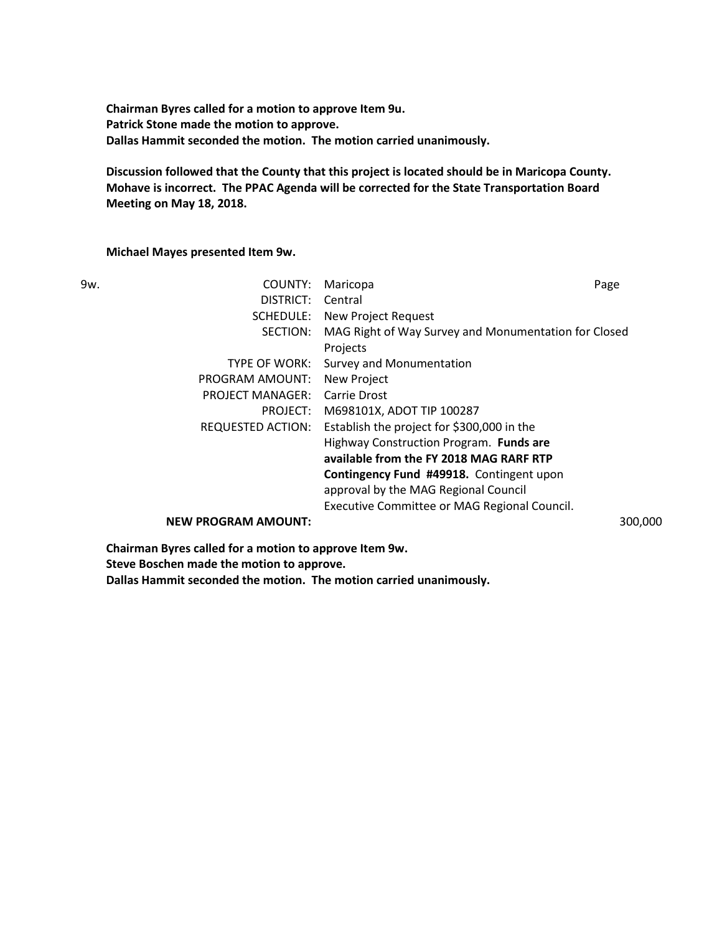**Chairman Byres called for a motion to approve Item 9u. Patrick Stone made the motion to approve. Dallas Hammit seconded the motion. The motion carried unanimously.**

**Discussion followed that the County that this project is located should be in Maricopa County. Mohave is incorrect. The PPAC Agenda will be corrected for the State Transportation Board Meeting on May 18, 2018.** 

## **Michael Mayes presented Item 9w.**

| 9w. | COUNTY:                    | Maricopa                                             | Page    |
|-----|----------------------------|------------------------------------------------------|---------|
|     | DISTRICT:                  | Central                                              |         |
|     | SCHEDULE:                  | New Project Request                                  |         |
|     | SECTION:                   | MAG Right of Way Survey and Monumentation for Closed |         |
|     |                            | Projects                                             |         |
|     | TYPE OF WORK:              | Survey and Monumentation                             |         |
|     | PROGRAM AMOUNT:            | New Project                                          |         |
|     | <b>PROJECT MANAGER:</b>    | Carrie Drost                                         |         |
|     | PROJECT:                   | M698101X, ADOT TIP 100287                            |         |
|     | <b>REQUESTED ACTION:</b>   | Establish the project for \$300,000 in the           |         |
|     |                            | Highway Construction Program. Funds are              |         |
|     |                            | available from the FY 2018 MAG RARF RTP              |         |
|     |                            | Contingency Fund #49918. Contingent upon             |         |
|     |                            | approval by the MAG Regional Council                 |         |
|     |                            | Executive Committee or MAG Regional Council.         |         |
|     | <b>NEW PROGRAM AMOUNT:</b> |                                                      | 300,000 |

**Chairman Byres called for a motion to approve Item 9w.** 

**Steve Boschen made the motion to approve.**

**Dallas Hammit seconded the motion. The motion carried unanimously.**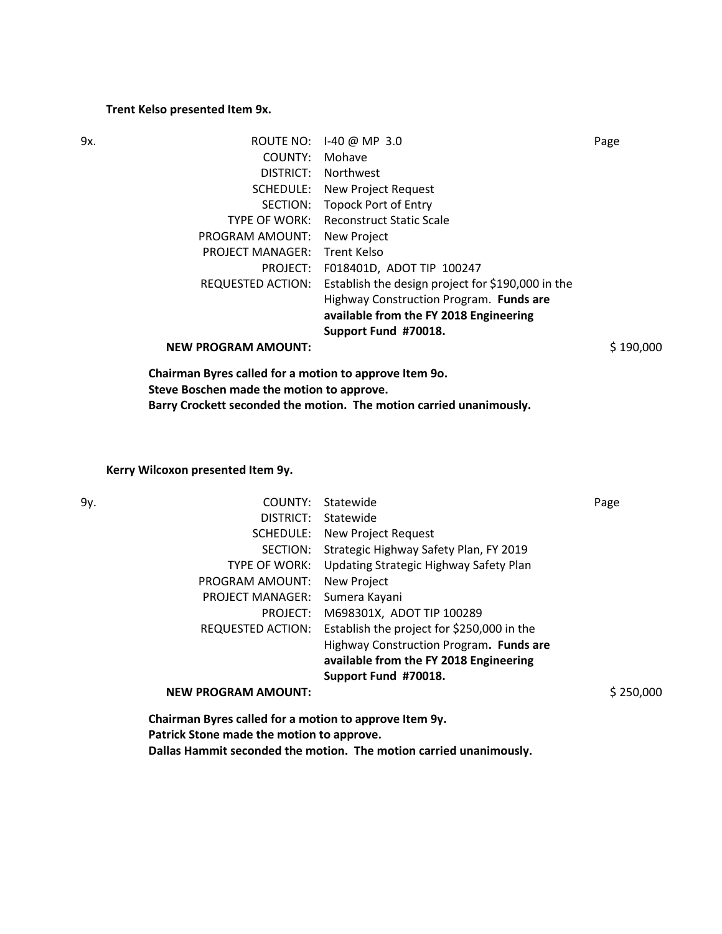#### **Trent Kelso presented Item 9x.**

| 9x. | ROUTE NO:                                              | $1-40$ @ MP 3.0                                   | Page      |
|-----|--------------------------------------------------------|---------------------------------------------------|-----------|
|     | COUNTY:                                                | Mohave                                            |           |
|     | DISTRICT:                                              | <b>Northwest</b>                                  |           |
|     | SCHEDULE:                                              | New Project Request                               |           |
|     | SECTION:                                               | <b>Topock Port of Entry</b>                       |           |
|     | TYPE OF WORK:                                          | <b>Reconstruct Static Scale</b>                   |           |
|     | PROGRAM AMOUNT:                                        | New Project                                       |           |
|     | <b>PROJECT MANAGER:</b>                                | Trent Kelso                                       |           |
|     | PROJECT:                                               | F018401D, ADOT TIP 100247                         |           |
|     | <b>REQUESTED ACTION:</b>                               | Establish the design project for \$190,000 in the |           |
|     |                                                        | Highway Construction Program. Funds are           |           |
|     |                                                        | available from the FY 2018 Engineering            |           |
|     |                                                        | Support Fund #70018.                              |           |
|     | <b>NEW PROGRAM AMOUNT:</b>                             |                                                   | \$190,000 |
|     | Chairman Byres called for a motion to approve Item 90. |                                                   |           |

**Steve Boschen made the motion to approve.**

**Barry Crockett seconded the motion. The motion carried unanimously.**

**Kerry Wilcoxon presented Item 9y.** 

| COUNTY:                    | Statewide                                  | Page                                                   |
|----------------------------|--------------------------------------------|--------------------------------------------------------|
| DISTRICT:                  | Statewide                                  |                                                        |
| SCHEDULE:                  | New Project Request                        |                                                        |
| SECTION:                   | Strategic Highway Safety Plan, FY 2019     |                                                        |
| <b>TYPE OF WORK:</b>       | Updating Strategic Highway Safety Plan     |                                                        |
| PROGRAM AMOUNT:            | New Project                                |                                                        |
| <b>PROJECT MANAGER:</b>    | Sumera Kayani                              |                                                        |
| PROJECT:                   | M698301X, ADOT TIP 100289                  |                                                        |
| REQUESTED ACTION:          | Establish the project for \$250,000 in the |                                                        |
|                            | Highway Construction Program. Funds are    |                                                        |
|                            | available from the FY 2018 Engineering     |                                                        |
|                            | Support Fund #70018.                       |                                                        |
| <b>NEW PROGRAM AMOUNT:</b> |                                            | \$250,000                                              |
|                            |                                            |                                                        |
|                            |                                            | Chairman Byres called for a motion to approve Item 9y. |

**Patrick Stone made the motion to approve.**

**Dallas Hammit seconded the motion. The motion carried unanimously.**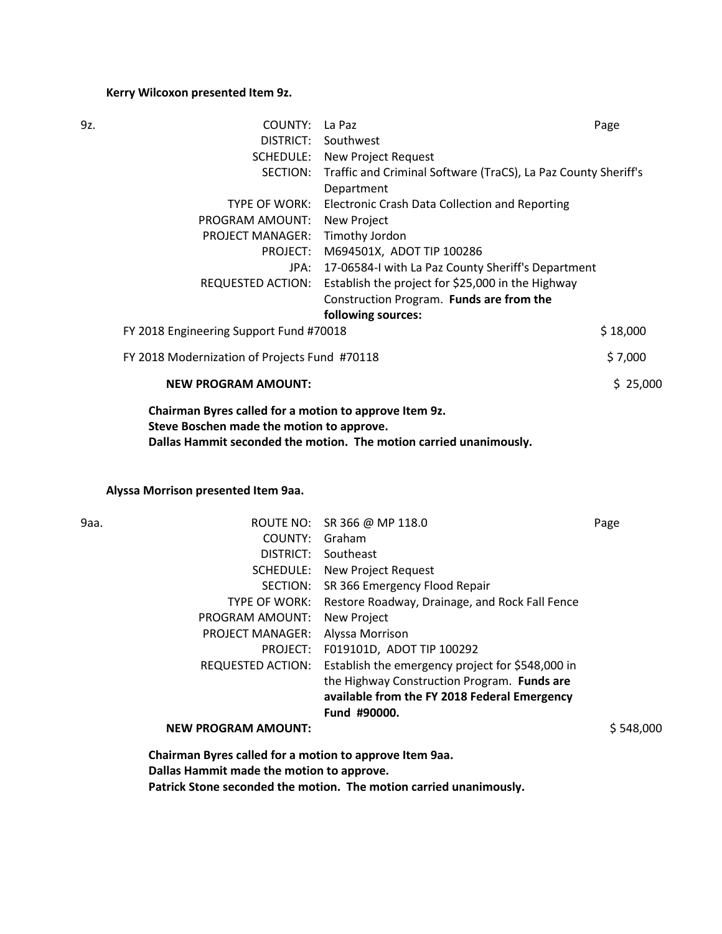### **Kerry Wilcoxon presented Item 9z.**

| 9z.                                     | COUNTY:                                                | La Paz                                                         | Page     |
|-----------------------------------------|--------------------------------------------------------|----------------------------------------------------------------|----------|
|                                         |                                                        | DISTRICT: Southwest                                            |          |
|                                         |                                                        | <b>SCHEDULE:</b> New Project Request                           |          |
|                                         | SECTION:                                               | Traffic and Criminal Software (TraCS), La Paz County Sheriff's |          |
|                                         |                                                        | Department                                                     |          |
|                                         | TYPE OF WORK:                                          | Electronic Crash Data Collection and Reporting                 |          |
|                                         | PROGRAM AMOUNT:                                        | New Project                                                    |          |
|                                         | <b>PROJECT MANAGER:</b>                                | Timothy Jordon                                                 |          |
|                                         |                                                        | PROJECT: M694501X, ADOT TIP 100286                             |          |
|                                         |                                                        | JPA: 17-06584-I with La Paz County Sheriff's Department        |          |
|                                         | REQUESTED ACTION:                                      | Establish the project for \$25,000 in the Highway              |          |
|                                         |                                                        | Construction Program. Funds are from the                       |          |
|                                         |                                                        | following sources:                                             |          |
| FY 2018 Engineering Support Fund #70018 |                                                        | \$18,000                                                       |          |
|                                         | FY 2018 Modernization of Projects Fund #70118          |                                                                | \$7,000  |
|                                         | <b>NEW PROGRAM AMOUNT:</b>                             |                                                                | \$25,000 |
|                                         | Chairman Byres called for a motion to approve Item 9z. |                                                                |          |

**Steve Boschen made the motion to approve.**

**Dallas Hammit seconded the motion. The motion carried unanimously.**

### **Alyssa Morrison presented Item 9aa.**

| ۰,<br>- -<br>۰.<br>v |
|----------------------|
|----------------------|

| 9aa. |                                                                                                               | ROUTE NO: SR 366 @ MP 118.0                      | Page      |
|------|---------------------------------------------------------------------------------------------------------------|--------------------------------------------------|-----------|
|      | COUNTY:                                                                                                       | Graham                                           |           |
|      | DISTRICT:                                                                                                     | Southeast                                        |           |
|      | SCHEDULE:                                                                                                     | New Project Request                              |           |
|      | SECTION:                                                                                                      | SR 366 Emergency Flood Repair                    |           |
|      | TYPE OF WORK:                                                                                                 | Restore Roadway, Drainage, and Rock Fall Fence   |           |
|      | PROGRAM AMOUNT:                                                                                               | New Project                                      |           |
|      | <b>PROJECT MANAGER:</b>                                                                                       | Alyssa Morrison                                  |           |
|      | PROJECT:                                                                                                      | F019101D, ADOT TIP 100292                        |           |
|      | REQUESTED ACTION:                                                                                             | Establish the emergency project for \$548,000 in |           |
|      |                                                                                                               | the Highway Construction Program. Funds are      |           |
|      |                                                                                                               | available from the FY 2018 Federal Emergency     |           |
|      |                                                                                                               | Fund #90000.                                     |           |
|      | <b>NEW PROGRAM AMOUNT:</b>                                                                                    |                                                  | \$548,000 |
|      | All the set of $\mathbf{R}$ and the set of $\mathbf{R}$ and the set of the set of the set of $\mathbf{R}$ and |                                                  |           |

**Chairman Byres called for a motion to approve Item 9aa. Dallas Hammit made the motion to approve. Patrick Stone seconded the motion. The motion carried unanimously.**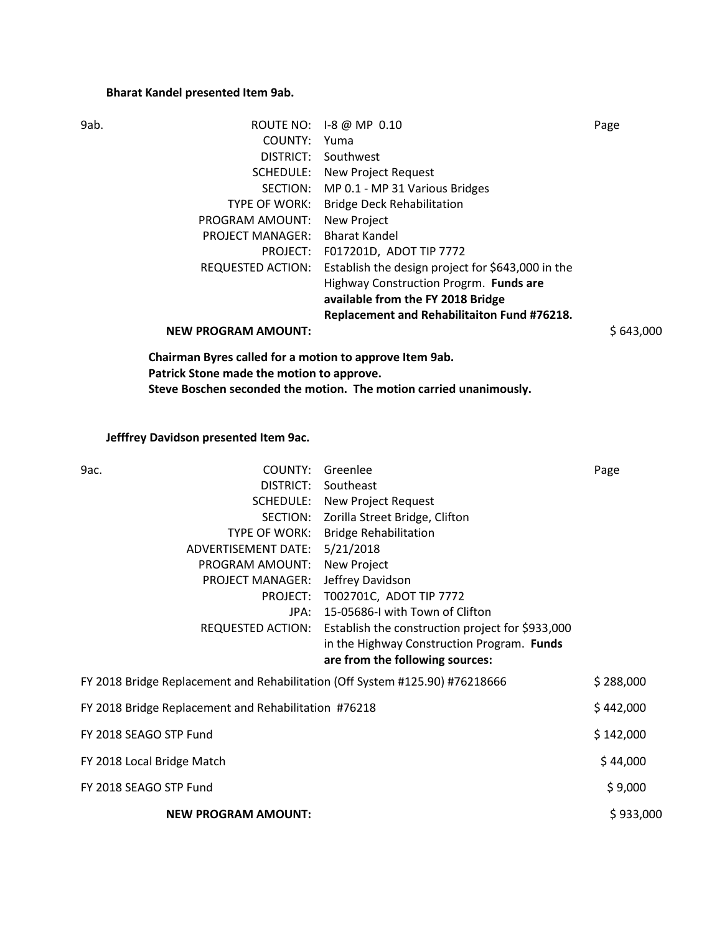# **Bharat Kandel presented Item 9ab.**

| ROUTE NO: 1-8 @ MP 0.10                                                | Page      |
|------------------------------------------------------------------------|-----------|
| COUNTY:<br>Yuma                                                        |           |
| DISTRICT:<br>Southwest                                                 |           |
| <b>SCHEDULE:</b> New Project Request                                   |           |
| SECTION: MP 0.1 - MP 31 Various Bridges                                |           |
| <b>Bridge Deck Rehabilitation</b><br>TYPE OF WORK:                     |           |
| PROGRAM AMOUNT:<br>New Project                                         |           |
| <b>PROJECT MANAGER:</b><br><b>Bharat Kandel</b>                        |           |
| PROJECT: F017201D, ADOT TIP 7772                                       |           |
| Establish the design project for \$643,000 in the<br>REQUESTED ACTION: |           |
| Highway Construction Progrm. Funds are                                 |           |
| available from the FY 2018 Bridge                                      |           |
| Replacement and Rehabilitaiton Fund #76218.                            |           |
|                                                                        | \$643,000 |
| Chairman Byres called for a motion to approve Item 9ab.                |           |
| Patrick Stone made the motion to approve.                              |           |
|                                                                        |           |

**Steve Boschen seconded the motion. The motion carried unanimously.**

**Jefffrey Davidson presented Item 9ac.** 

| 9ас.<br>COUNTY:                                                              | Greenlee                                                           | Page      |
|------------------------------------------------------------------------------|--------------------------------------------------------------------|-----------|
| <b>DISTRICT:</b>                                                             | Southeast                                                          |           |
|                                                                              | <b>SCHEDULE:</b> New Project Request                               |           |
| SECTION:                                                                     | Zorilla Street Bridge, Clifton                                     |           |
| TYPE OF WORK:                                                                | <b>Bridge Rehabilitation</b>                                       |           |
| ADVERTISEMENT DATE:                                                          | 5/21/2018                                                          |           |
| PROGRAM AMOUNT:                                                              | <b>New Project</b>                                                 |           |
| <b>PROJECT MANAGER:</b>                                                      | Jeffrey Davidson                                                   |           |
|                                                                              | PROJECT: T002701C, ADOT TIP 7772                                   |           |
| JPA:                                                                         | 15-05686-I with Town of Clifton                                    |           |
|                                                                              | REQUESTED ACTION: Establish the construction project for \$933,000 |           |
|                                                                              | in the Highway Construction Program. Funds                         |           |
|                                                                              | are from the following sources:                                    |           |
| FY 2018 Bridge Replacement and Rehabilitation (Off System #125.90) #76218666 |                                                                    | \$288,000 |
| FY 2018 Bridge Replacement and Rehabilitation #76218                         |                                                                    | \$442,000 |
| FY 2018 SEAGO STP Fund                                                       |                                                                    | \$142,000 |
| FY 2018 Local Bridge Match                                                   |                                                                    | \$44,000  |
| FY 2018 SEAGO STP Fund                                                       |                                                                    | \$9,000   |
| <b>NEW PROGRAM AMOUNT:</b>                                                   |                                                                    | \$933,000 |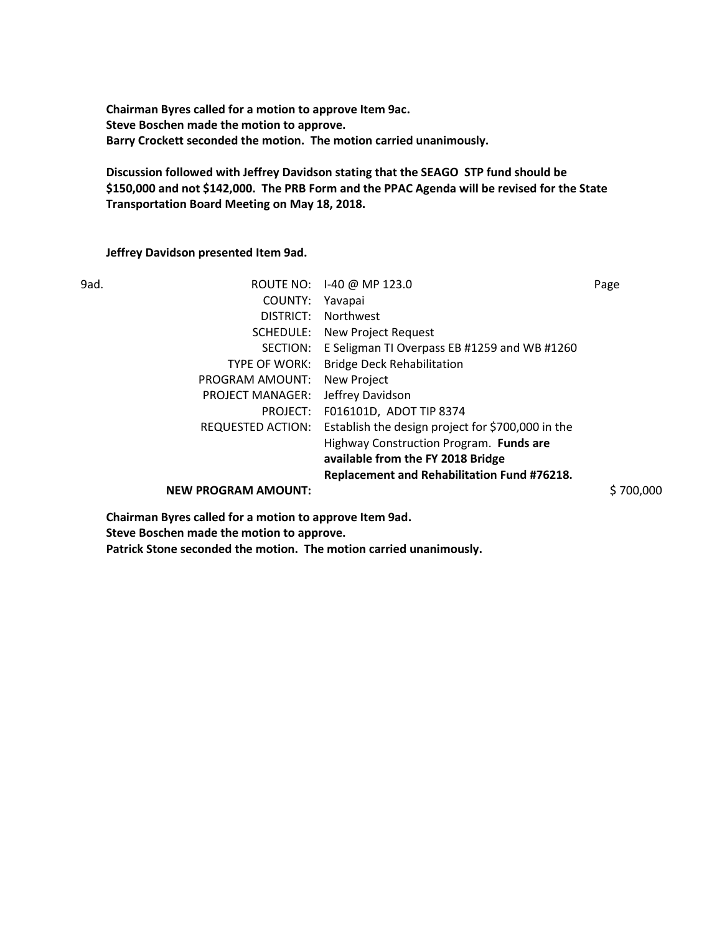**Chairman Byres called for a motion to approve Item 9ac. Steve Boschen made the motion to approve. Barry Crockett seconded the motion. The motion carried unanimously.**

**Discussion followed with Jeffrey Davidson stating that the SEAGO STP fund should be \$150,000 and not \$142,000. The PRB Form and the PPAC Agenda will be revised for the State Transportation Board Meeting on May 18, 2018.** 

**Jeffrey Davidson presented Item 9ad.** 

| 9ad. |                            | ROUTE NO: 1-40 @ MP 123.0                         | Page      |
|------|----------------------------|---------------------------------------------------|-----------|
|      | COUNTY:                    | Yavapai                                           |           |
|      | DISTRICT:                  | Northwest                                         |           |
|      | SCHEDULE:                  | New Project Request                               |           |
|      | SECTION:                   | E Seligman TI Overpass EB #1259 and WB #1260      |           |
|      | TYPE OF WORK:              | <b>Bridge Deck Rehabilitation</b>                 |           |
|      | PROGRAM AMOUNT:            | New Project                                       |           |
|      | <b>PROJECT MANAGER:</b>    | Jeffrey Davidson                                  |           |
|      | PROJECT:                   | F016101D, ADOT TIP 8374                           |           |
|      | REQUESTED ACTION:          | Establish the design project for \$700,000 in the |           |
|      |                            | Highway Construction Program. Funds are           |           |
|      |                            | available from the FY 2018 Bridge                 |           |
|      |                            | Replacement and Rehabilitation Fund #76218.       |           |
|      | <b>NEW PROGRAM AMOUNT:</b> |                                                   | \$700,000 |
|      |                            |                                                   |           |

**Chairman Byres called for a motion to approve Item 9ad. Steve Boschen made the motion to approve.**

**Patrick Stone seconded the motion. The motion carried unanimously.**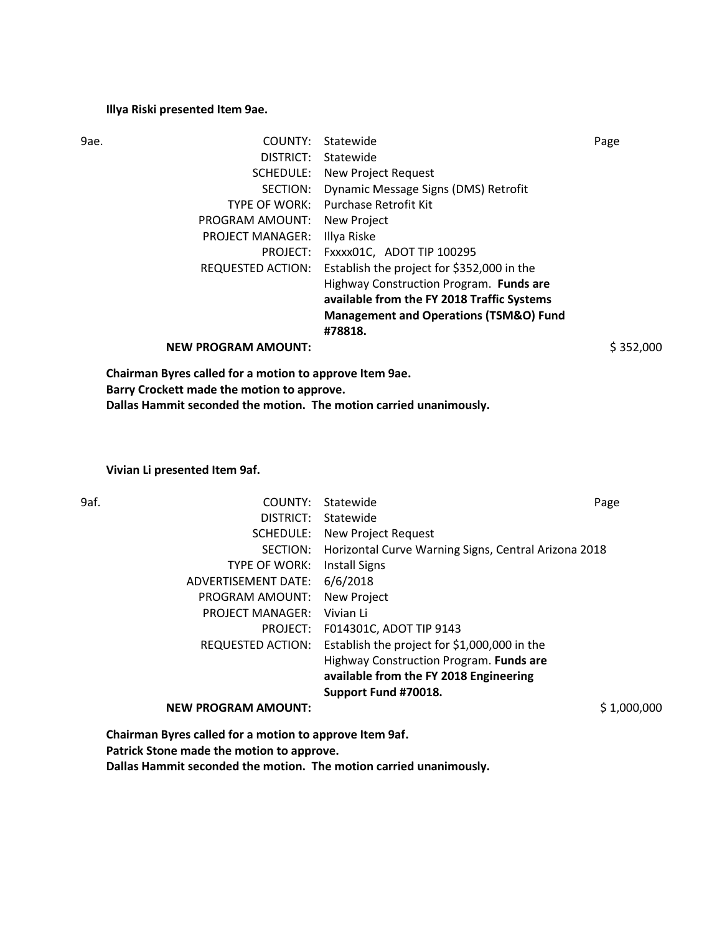#### **Illya Riski presented Item 9ae.**

| 9ae. | COUNTY:                                                  | Statewide                                         | Page      |
|------|----------------------------------------------------------|---------------------------------------------------|-----------|
|      | DISTRICT:                                                | Statewide                                         |           |
|      | SCHEDULE:                                                | New Project Request                               |           |
|      | SECTION:                                                 | Dynamic Message Signs (DMS) Retrofit              |           |
|      | TYPE OF WORK:                                            | <b>Purchase Retrofit Kit</b>                      |           |
|      | PROGRAM AMOUNT:                                          | New Project                                       |           |
|      | <b>PROJECT MANAGER:</b>                                  | Illya Riske                                       |           |
|      | PROJECT:                                                 | FXXXX01C, ADOT TIP 100295                         |           |
|      | <b>REQUESTED ACTION:</b>                                 | Establish the project for \$352,000 in the        |           |
|      |                                                          | Highway Construction Program. Funds are           |           |
|      |                                                          | available from the FY 2018 Traffic Systems        |           |
|      |                                                          | <b>Management and Operations (TSM&amp;O) Fund</b> |           |
|      |                                                          | #78818.                                           |           |
|      | <b>NEW PROGRAM AMOUNT:</b>                               |                                                   | \$352,000 |
|      | Abatungan Banga dallah fan a mattan ta anggota Itang Aal |                                                   |           |

**Chairman Byres called for a motion to approve Item 9ae. Barry Crockett made the motion to approve. Dallas Hammit seconded the motion. The motion carried unanimously.**

### **Vivian Li presented Item 9af.**

| 9af. | COUNTY:                    | Statewide                                            | Page        |
|------|----------------------------|------------------------------------------------------|-------------|
|      | DISTRICT:                  | Statewide                                            |             |
|      | SCHEDULE:                  | <b>New Project Request</b>                           |             |
|      | SECTION:                   | Horizontal Curve Warning Signs, Central Arizona 2018 |             |
|      | <b>TYPE OF WORK:</b>       | <b>Install Signs</b>                                 |             |
|      | ADVERTISEMENT DATE:        | 6/6/2018                                             |             |
|      | PROGRAM AMOUNT:            | <b>New Project</b>                                   |             |
|      | <b>PROJECT MANAGER:</b>    | Vivian Li                                            |             |
|      | PROJECT:                   | F014301C, ADOT TIP 9143                              |             |
|      | <b>REQUESTED ACTION:</b>   | Establish the project for \$1,000,000 in the         |             |
|      |                            | Highway Construction Program. Funds are              |             |
|      |                            | available from the FY 2018 Engineering               |             |
|      |                            | Support Fund #70018.                                 |             |
|      | <b>NEW PROGRAM AMOUNT:</b> |                                                      | \$1,000,000 |
|      |                            |                                                      |             |

**Chairman Byres called for a motion to approve Item 9af. Patrick Stone made the motion to approve.**

**Dallas Hammit seconded the motion. The motion carried unanimously.**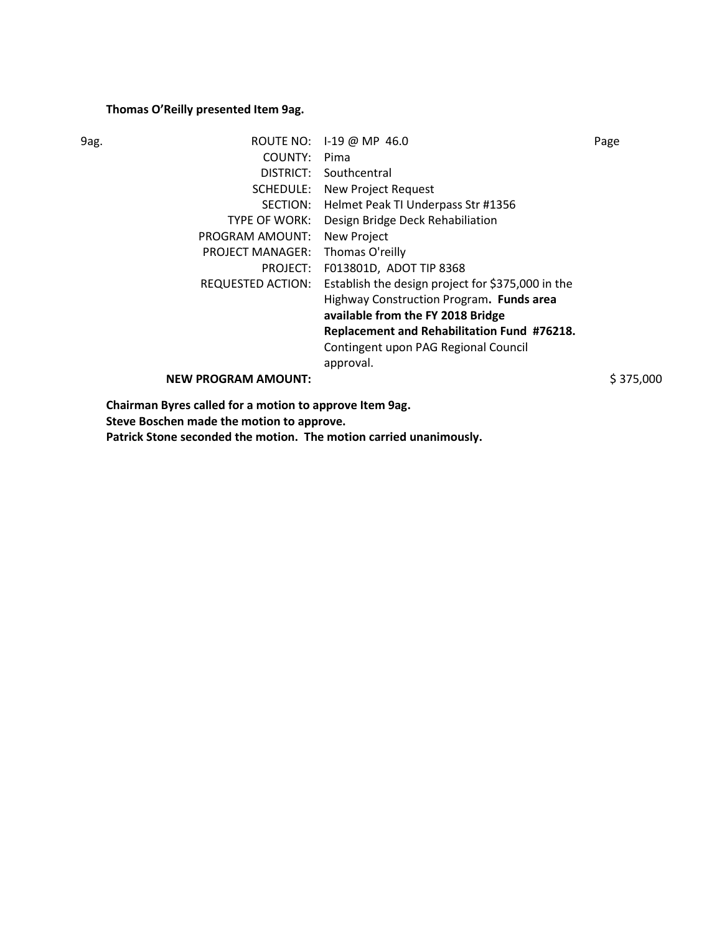## **Thomas O'Reilly presented Item 9ag.**

| 9ag. |                                                       | ROUTE NO: 1-19 @ MP 46.0                          | Page      |
|------|-------------------------------------------------------|---------------------------------------------------|-----------|
|      | COUNTY:                                               | Pima                                              |           |
|      | DISTRICT:                                             | Southcentral                                      |           |
|      | SCHEDULE:                                             | New Project Request                               |           |
|      | SECTION:                                              | Helmet Peak TI Underpass Str #1356                |           |
|      | TYPE OF WORK:                                         | Design Bridge Deck Rehabiliation                  |           |
|      | PROGRAM AMOUNT:                                       | New Project                                       |           |
|      | <b>PROJECT MANAGER:</b>                               | Thomas O'reilly                                   |           |
|      | PROJECT:                                              | F013801D, ADOT TIP 8368                           |           |
|      | REQUESTED ACTION:                                     | Establish the design project for \$375,000 in the |           |
|      |                                                       | Highway Construction Program. Funds area          |           |
|      |                                                       | available from the FY 2018 Bridge                 |           |
|      |                                                       | Replacement and Rehabilitation Fund #76218.       |           |
|      |                                                       | Contingent upon PAG Regional Council              |           |
|      |                                                       | approval.                                         |           |
|      | <b>NEW PROGRAM AMOUNT:</b>                            |                                                   | \$375,000 |
|      | Abeluman Bunan sallad fan a mattan ta annoon Itana Aa |                                                   |           |

**Chairman Byres called for a motion to approve Item 9ag. Steve Boschen made the motion to approve.**

**Patrick Stone seconded the motion. The motion carried unanimously.**